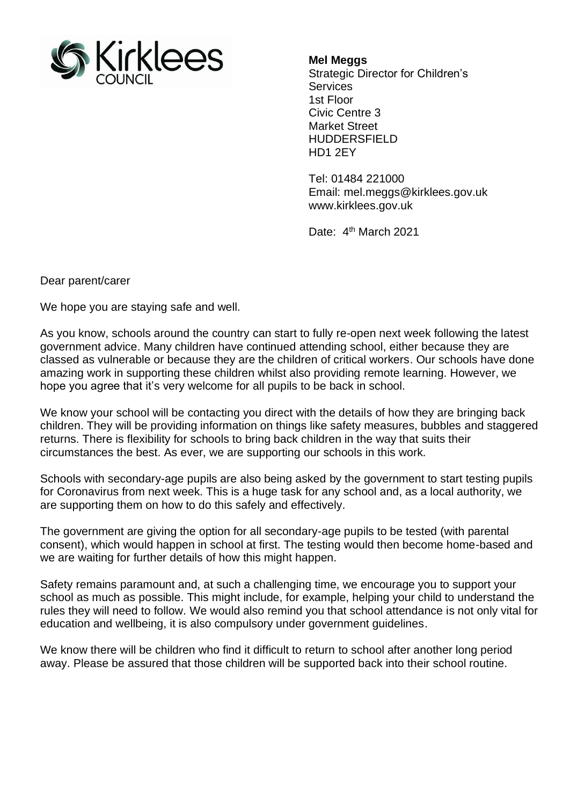

**Mel Meggs**

Strategic Director for Children's **Services** 1st Floor Civic Centre 3 Market Street HUDDERSFIELD HD1 2EY

Tel: 01484 221000 Email: mel.meggs@kirklees.gov.uk www.kirklees.gov.uk

Date: 4<sup>th</sup> March 2021

Dear parent/carer

We hope you are staying safe and well.

As you know, schools around the country can start to fully re-open next week following the latest government advice. Many children have continued attending school, either because they are classed as vulnerable or because they are the children of critical workers. Our schools have done amazing work in supporting these children whilst also providing remote learning. However, we hope you agree that it's very welcome for all pupils to be back in school.

We know your school will be contacting you direct with the details of how they are bringing back children. They will be providing information on things like safety measures, bubbles and staggered returns. There is flexibility for schools to bring back children in the way that suits their circumstances the best. As ever, we are supporting our schools in this work.

Schools with secondary-age pupils are also being asked by the government to start testing pupils for Coronavirus from next week. This is a huge task for any school and, as a local authority, we are supporting them on how to do this safely and effectively.

The government are giving the option for all secondary-age pupils to be tested (with parental consent), which would happen in school at first. The testing would then become home-based and we are waiting for further details of how this might happen.

Safety remains paramount and, at such a challenging time, we encourage you to support your school as much as possible. This might include, for example, helping your child to understand the rules they will need to follow. We would also remind you that school attendance is not only vital for education and wellbeing, it is also compulsory under government guidelines.

We know there will be children who find it difficult to return to school after another long period away. Please be assured that those children will be supported back into their school routine.